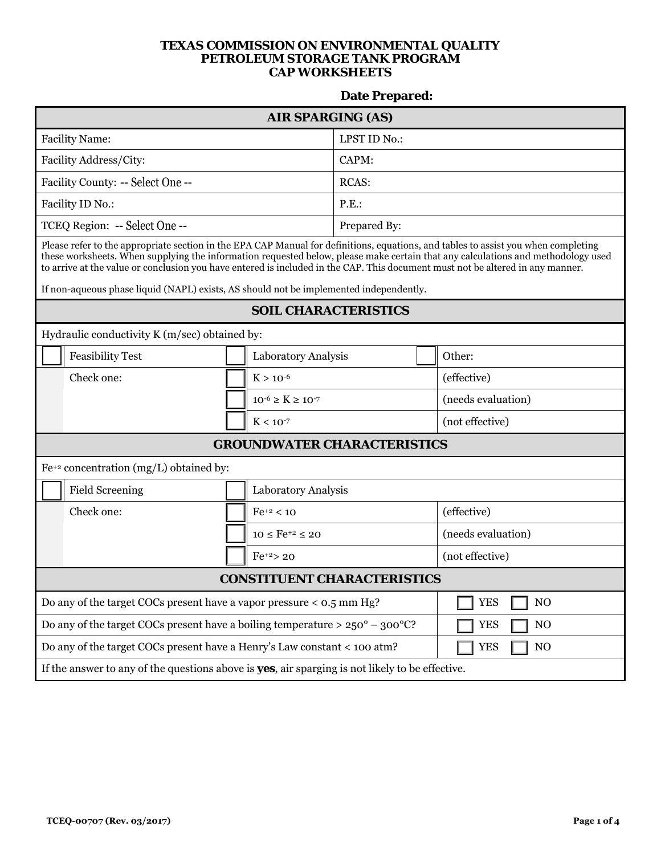## **TEXAS COMMISSION ON ENVIRONMENTAL QUALITY PETROLEUM STORAGE TANK PROGRAM CAP WORKSHEETS**

## **Date Prepared:**

| <b>AIR SPARGING (AS)</b>                                                                                                                                                                                                                                                                                                                                                                                 |                                             |                               |                 |                    |                              |  |  |  |
|----------------------------------------------------------------------------------------------------------------------------------------------------------------------------------------------------------------------------------------------------------------------------------------------------------------------------------------------------------------------------------------------------------|---------------------------------------------|-------------------------------|-----------------|--------------------|------------------------------|--|--|--|
| <b>Facility Name:</b>                                                                                                                                                                                                                                                                                                                                                                                    |                                             | LPST ID No.:                  |                 |                    |                              |  |  |  |
| Facility Address/City:                                                                                                                                                                                                                                                                                                                                                                                   |                                             |                               | CAPM:           |                    |                              |  |  |  |
| Facility County: -- Select One --                                                                                                                                                                                                                                                                                                                                                                        |                                             |                               | <b>RCAS:</b>    |                    |                              |  |  |  |
| Facility ID No.:                                                                                                                                                                                                                                                                                                                                                                                         |                                             |                               | P.E.            |                    |                              |  |  |  |
| TCEQ Region: -- Select One --                                                                                                                                                                                                                                                                                                                                                                            |                                             |                               | Prepared By:    |                    |                              |  |  |  |
| Please refer to the appropriate section in the EPA CAP Manual for definitions, equations, and tables to assist you when completing<br>these worksheets. When supplying the information requested below, please make certain that any calculations and methodology used<br>to arrive at the value or conclusion you have entered is included in the CAP. This document must not be altered in any manner. |                                             |                               |                 |                    |                              |  |  |  |
| If non-aqueous phase liquid (NAPL) exists, AS should not be implemented independently.                                                                                                                                                                                                                                                                                                                   |                                             |                               |                 |                    |                              |  |  |  |
| <b>SOIL CHARACTERISTICS</b>                                                                                                                                                                                                                                                                                                                                                                              |                                             |                               |                 |                    |                              |  |  |  |
| Hydraulic conductivity K (m/sec) obtained by:                                                                                                                                                                                                                                                                                                                                                            |                                             |                               |                 |                    |                              |  |  |  |
| <b>Feasibility Test</b>                                                                                                                                                                                                                                                                                                                                                                                  |                                             | Laboratory Analysis           |                 |                    | Other:                       |  |  |  |
| Check one:                                                                                                                                                                                                                                                                                                                                                                                               |                                             | $K > 10^{-6}$                 |                 |                    | (effective)                  |  |  |  |
|                                                                                                                                                                                                                                                                                                                                                                                                          |                                             | $10^{-6} \geq K \geq 10^{-7}$ |                 |                    | (needs evaluation)           |  |  |  |
| $K < 10^{-7}$                                                                                                                                                                                                                                                                                                                                                                                            |                                             |                               | (not effective) |                    |                              |  |  |  |
| <b>GROUNDWATER CHARACTERISTICS</b>                                                                                                                                                                                                                                                                                                                                                                       |                                             |                               |                 |                    |                              |  |  |  |
|                                                                                                                                                                                                                                                                                                                                                                                                          | $Fe^{+2}$ concentration (mg/L) obtained by: |                               |                 |                    |                              |  |  |  |
| <b>Field Screening</b><br>Laboratory Analysis                                                                                                                                                                                                                                                                                                                                                            |                                             |                               |                 |                    |                              |  |  |  |
| Check one:                                                                                                                                                                                                                                                                                                                                                                                               |                                             | $Fe^{+2} < 10$                |                 |                    | (effective)                  |  |  |  |
| $10 \leq Fe^{+2} \leq 20$                                                                                                                                                                                                                                                                                                                                                                                |                                             |                               |                 | (needs evaluation) |                              |  |  |  |
| $Fe^{+2}$ 20                                                                                                                                                                                                                                                                                                                                                                                             |                                             |                               |                 | (not effective)    |                              |  |  |  |
| <b>CONSTITUENT CHARACTERISTICS</b>                                                                                                                                                                                                                                                                                                                                                                       |                                             |                               |                 |                    |                              |  |  |  |
| Do any of the target COCs present have a vapor pressure $<$ 0.5 mm Hg?                                                                                                                                                                                                                                                                                                                                   |                                             |                               |                 |                    | <b>YES</b><br>NO             |  |  |  |
| Do any of the target COCs present have a boiling temperature $> 250^{\circ} - 300^{\circ}$ C?                                                                                                                                                                                                                                                                                                            |                                             |                               |                 |                    | <b>YES</b><br>N <sub>O</sub> |  |  |  |
| Do any of the target COCs present have a Henry's Law constant < 100 atm?<br><b>YES</b><br>NO                                                                                                                                                                                                                                                                                                             |                                             |                               |                 |                    |                              |  |  |  |
| If the answer to any of the questions above is <b>yes</b> , air sparging is not likely to be effective.                                                                                                                                                                                                                                                                                                  |                                             |                               |                 |                    |                              |  |  |  |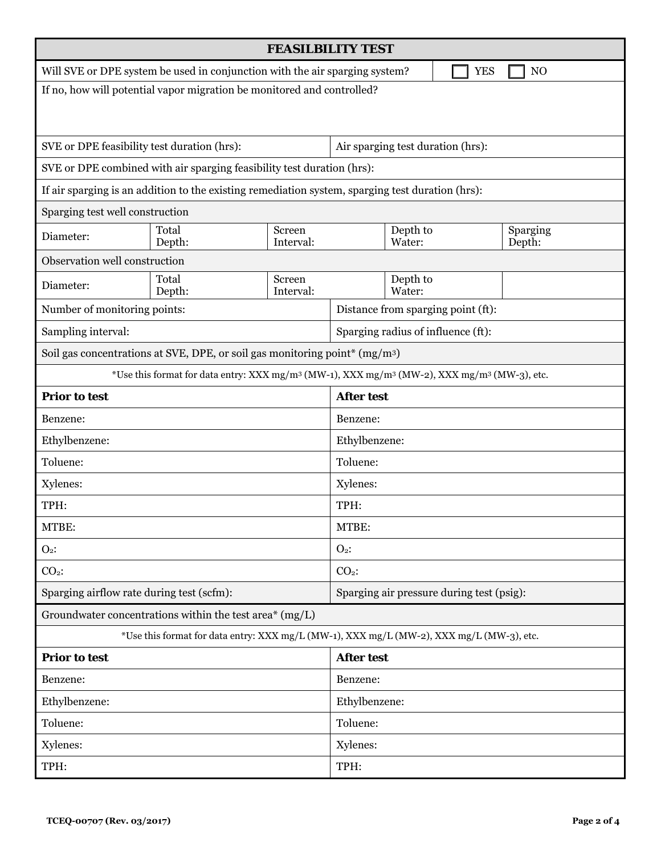| <b>FEASILBILITY TEST</b>                                                                                                        |                                                                                                  |                     |                                           |                                    |                    |  |  |
|---------------------------------------------------------------------------------------------------------------------------------|--------------------------------------------------------------------------------------------------|---------------------|-------------------------------------------|------------------------------------|--------------------|--|--|
| Will SVE or DPE system be used in conjunction with the air sparging system?<br>N <sub>O</sub><br><b>YES</b>                     |                                                                                                  |                     |                                           |                                    |                    |  |  |
| If no, how will potential vapor migration be monitored and controlled?                                                          |                                                                                                  |                     |                                           |                                    |                    |  |  |
|                                                                                                                                 |                                                                                                  |                     |                                           |                                    |                    |  |  |
|                                                                                                                                 |                                                                                                  |                     |                                           |                                    |                    |  |  |
| SVE or DPE feasibility test duration (hrs):                                                                                     |                                                                                                  |                     | Air sparging test duration (hrs):         |                                    |                    |  |  |
|                                                                                                                                 | SVE or DPE combined with air sparging feasibility test duration (hrs):                           |                     |                                           |                                    |                    |  |  |
|                                                                                                                                 | If air sparging is an addition to the existing remediation system, sparging test duration (hrs): |                     |                                           |                                    |                    |  |  |
| Sparging test well construction                                                                                                 |                                                                                                  |                     |                                           |                                    |                    |  |  |
| Diameter:                                                                                                                       | Total<br>Depth:                                                                                  | Screen<br>Interval: |                                           | Depth to<br>Water:                 | Sparging<br>Depth: |  |  |
| Observation well construction                                                                                                   |                                                                                                  |                     |                                           |                                    |                    |  |  |
| Diameter:                                                                                                                       | Screen<br>Total<br>Depth:<br>Interval:                                                           |                     |                                           | Depth to<br>Water:                 |                    |  |  |
|                                                                                                                                 | Number of monitoring points:                                                                     |                     |                                           | Distance from sparging point (ft): |                    |  |  |
| Sampling interval:                                                                                                              |                                                                                                  |                     |                                           | Sparging radius of influence (ft): |                    |  |  |
| Soil gas concentrations at SVE, DPE, or soil gas monitoring point* (mg/m <sup>3</sup> )                                         |                                                                                                  |                     |                                           |                                    |                    |  |  |
| *Use this format for data entry: XXX mg/m <sup>3</sup> (MW-1), XXX mg/m <sup>3</sup> (MW-2), XXX mg/m <sup>3</sup> (MW-3), etc. |                                                                                                  |                     |                                           |                                    |                    |  |  |
| <b>Prior to test</b>                                                                                                            |                                                                                                  |                     | <b>After test</b>                         |                                    |                    |  |  |
| Benzene:                                                                                                                        |                                                                                                  |                     | Benzene:                                  |                                    |                    |  |  |
| Ethylbenzene:                                                                                                                   |                                                                                                  |                     | Ethylbenzene:                             |                                    |                    |  |  |
| Toluene:                                                                                                                        |                                                                                                  |                     | Toluene:                                  |                                    |                    |  |  |
| Xylenes:                                                                                                                        |                                                                                                  |                     | Xylenes:                                  |                                    |                    |  |  |
| TPH:                                                                                                                            |                                                                                                  |                     | TPH:                                      |                                    |                    |  |  |
| MTBE:                                                                                                                           |                                                                                                  |                     | MTBE:                                     |                                    |                    |  |  |
| $O2$ :                                                                                                                          |                                                                                                  |                     | $O2$ :                                    |                                    |                    |  |  |
| $CO2$ :                                                                                                                         |                                                                                                  |                     | $CO2$ :                                   |                                    |                    |  |  |
| Sparging airflow rate during test (scfm):                                                                                       |                                                                                                  |                     | Sparging air pressure during test (psig): |                                    |                    |  |  |
| Groundwater concentrations within the test area* (mg/L)                                                                         |                                                                                                  |                     |                                           |                                    |                    |  |  |
| *Use this format for data entry: XXX mg/L (MW-1), XXX mg/L (MW-2), XXX mg/L (MW-3), etc.                                        |                                                                                                  |                     |                                           |                                    |                    |  |  |
| <b>Prior to test</b>                                                                                                            |                                                                                                  |                     | <b>After test</b>                         |                                    |                    |  |  |
| Benzene:                                                                                                                        |                                                                                                  |                     | Benzene:                                  |                                    |                    |  |  |
| Ethylbenzene:                                                                                                                   |                                                                                                  |                     | Ethylbenzene:                             |                                    |                    |  |  |
| Toluene:                                                                                                                        |                                                                                                  |                     | Toluene:                                  |                                    |                    |  |  |
| Xylenes:                                                                                                                        |                                                                                                  |                     | Xylenes:                                  |                                    |                    |  |  |
| TPH:                                                                                                                            |                                                                                                  |                     | TPH:                                      |                                    |                    |  |  |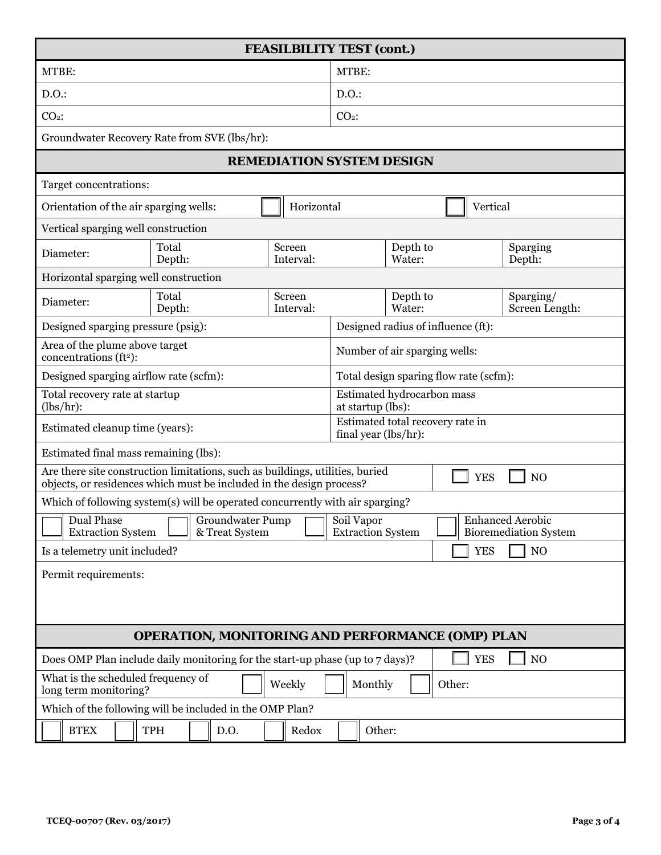| <b>FEASILBILITY TEST (cont.)</b>                                                                                                                      |                 |      |                                                 |                                                          |                      |                |  |  |
|-------------------------------------------------------------------------------------------------------------------------------------------------------|-----------------|------|-------------------------------------------------|----------------------------------------------------------|----------------------|----------------|--|--|
| MTBE:                                                                                                                                                 |                 |      | MTBE:                                           |                                                          |                      |                |  |  |
| D.O.                                                                                                                                                  |                 |      | D.O.                                            |                                                          |                      |                |  |  |
| $CO2$ :                                                                                                                                               |                 |      | $CO2$ :                                         |                                                          |                      |                |  |  |
| Groundwater Recovery Rate from SVE (lbs/hr):                                                                                                          |                 |      |                                                 |                                                          |                      |                |  |  |
|                                                                                                                                                       |                 |      |                                                 | <b>REMEDIATION SYSTEM DESIGN</b>                         |                      |                |  |  |
| Target concentrations:                                                                                                                                |                 |      |                                                 |                                                          |                      |                |  |  |
| Horizontal<br>Orientation of the air sparging wells:                                                                                                  |                 |      |                                                 | Vertical                                                 |                      |                |  |  |
| Vertical sparging well construction                                                                                                                   |                 |      |                                                 |                                                          |                      |                |  |  |
| Total<br>Screen<br>Diameter:<br>Depth:<br>Interval:                                                                                                   |                 |      | Depth to<br>Water:                              | Sparging<br>Depth:                                       |                      |                |  |  |
| Horizontal sparging well construction                                                                                                                 |                 |      |                                                 |                                                          |                      |                |  |  |
| Diameter:                                                                                                                                             | Total<br>Depth: |      | Screen<br>Interval:                             | Water:                                                   | Depth to             |                |  |  |
| Designed sparging pressure (psig):                                                                                                                    |                 |      |                                                 | Screen Length:<br>Designed radius of influence (ft):     |                      |                |  |  |
| Area of the plume above target<br>concentrations (ft <sup>2</sup> ):                                                                                  |                 |      | Number of air sparging wells:                   |                                                          |                      |                |  |  |
| Designed sparging airflow rate (scfm):                                                                                                                |                 |      | Total design sparing flow rate (scfm):          |                                                          |                      |                |  |  |
| Total recovery rate at startup<br>(lbs/hr):                                                                                                           |                 |      | Estimated hydrocarbon mass<br>at startup (lbs): |                                                          |                      |                |  |  |
| Estimated cleanup time (years):                                                                                                                       |                 |      |                                                 | Estimated total recovery rate in<br>final year (lbs/hr): |                      |                |  |  |
| Estimated final mass remaining (lbs):                                                                                                                 |                 |      |                                                 |                                                          |                      |                |  |  |
| Are there site construction limitations, such as buildings, utilities, buried<br>objects, or residences which must be included in the design process? |                 |      |                                                 |                                                          | <b>YES</b>           | N <sub>O</sub> |  |  |
| Which of following system(s) will be operated concurrently with air sparging?                                                                         |                 |      |                                                 |                                                          |                      |                |  |  |
| Groundwater Pump   Soil Vapor<br>Dual Phase<br><b>Extraction System</b><br>& Treat System                                                             |                 |      | <b>Extraction System</b>                        | Enhanced Aerobic<br><b>Bioremediation System</b>         |                      |                |  |  |
| Is a telemetry unit included?                                                                                                                         |                 |      |                                                 |                                                          | <b>YES</b>           | NO             |  |  |
| Permit requirements:                                                                                                                                  |                 |      |                                                 |                                                          |                      |                |  |  |
| <b>OPERATION, MONITORING AND PERFORMANCE (OMP) PLAN</b>                                                                                               |                 |      |                                                 |                                                          |                      |                |  |  |
| Does OMP Plan include daily monitoring for the start-up phase (up to 7 days)?<br>What is the scheduled frequency of<br>long term monitoring?          |                 |      | Weekly                                          | Monthly                                                  | <b>YES</b><br>Other: | NO             |  |  |
| Which of the following will be included in the OMP Plan?                                                                                              |                 |      |                                                 |                                                          |                      |                |  |  |
| <b>BTEX</b>                                                                                                                                           | TPH             | D.O. | Redox                                           | Other:                                                   |                      |                |  |  |